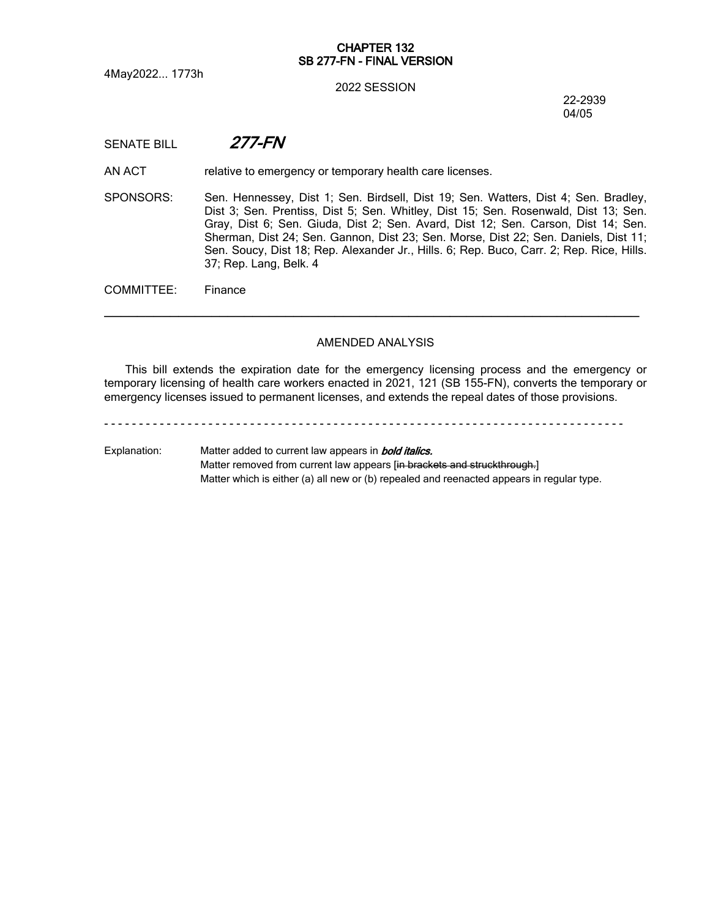4May2022... 1773h

#### **CHAPTER 132 SB 277-FN - FINAL VERSION**

#### 2022 SESSION

22-2939 04/05

## SENATE BILL *277-FN*

AN ACT relative to emergency or temporary health care licenses.

SPONSORS: Sen. Hennessey, Dist 1; Sen. Birdsell, Dist 19; Sen. Watters, Dist 4; Sen. Bradley, Dist 3; Sen. Prentiss, Dist 5; Sen. Whitley, Dist 15; Sen. Rosenwald, Dist 13; Sen. Gray, Dist 6; Sen. Giuda, Dist 2; Sen. Avard, Dist 12; Sen. Carson, Dist 14; Sen. Sherman, Dist 24; Sen. Gannon, Dist 23; Sen. Morse, Dist 22; Sen. Daniels, Dist 11; Sen. Soucy, Dist 18; Rep. Alexander Jr., Hills. 6; Rep. Buco, Carr. 2; Rep. Rice, Hills. 37; Rep. Lang, Belk. 4

COMMITTEE: Finance

#### AMENDED ANALYSIS

─────────────────────────────────────────────────────────────────

This bill extends the expiration date for the emergency licensing process and the emergency or temporary licensing of health care workers enacted in 2021, 121 (SB 155-FN), converts the temporary or emergency licenses issued to permanent licenses, and extends the repeal dates of those provisions.

- - - - - - - - - - - - - - - - - - - - - - - - - - - - - - - - - - - - - - - - - - - - - - - - - - - - - - - - - - - - - - - - - - - - - - - - - - -

Explanation: Matter added to current law appears in *bold italics.* Matter removed from current law appears [in brackets and struckthrough.] Matter which is either (a) all new or (b) repealed and reenacted appears in regular type.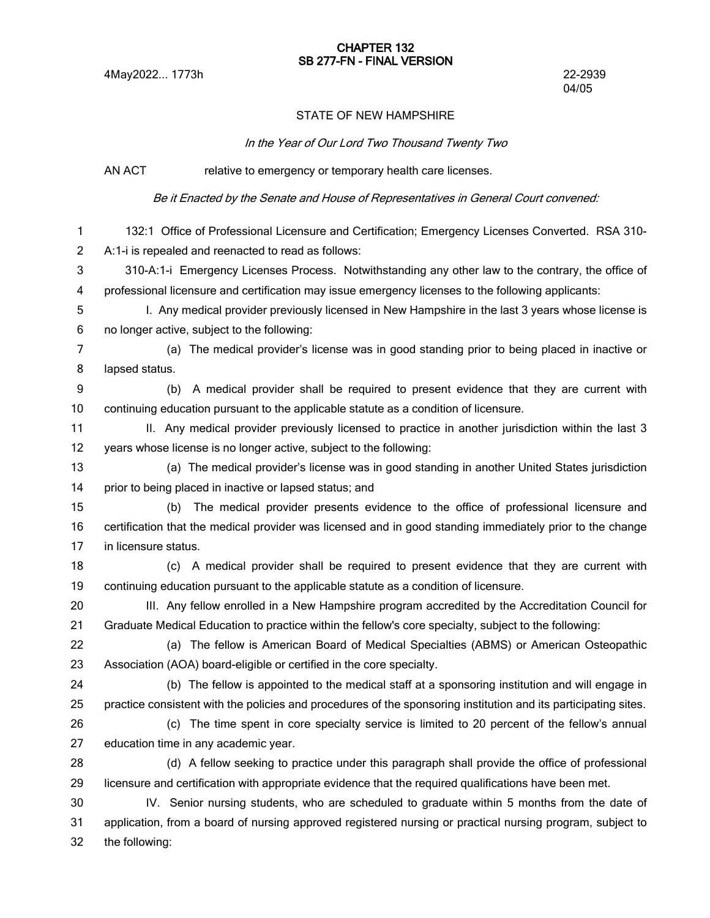#### **CHAPTER 132 SB 277-FN - FINAL VERSION**

# 04/05

### STATE OF NEW HAMPSHIRE

*In the Year of Our Lord Two Thousand Twenty Two*

AN ACT relative to emergency or temporary health care licenses.

*Be it Enacted by the Senate and House of Representatives in General Court convened:*

132:1 Office of Professional Licensure and Certification; Emergency Licenses Converted. RSA 310- A:1-i is repealed and reenacted to read as follows: 310-A:1-i Emergency Licenses Process. Notwithstanding any other law to the contrary, the office of professional licensure and certification may issue emergency licenses to the following applicants: I. Any medical provider previously licensed in New Hampshire in the last 3 years whose license is no longer active, subject to the following: (a) The medical provider's license was in good standing prior to being placed in inactive or lapsed status. (b) A medical provider shall be required to present evidence that they are current with continuing education pursuant to the applicable statute as a condition of licensure. II. Any medical provider previously licensed to practice in another jurisdiction within the last 3 years whose license is no longer active, subject to the following: (a) The medical provider's license was in good standing in another United States jurisdiction prior to being placed in inactive or lapsed status; and (b) The medical provider presents evidence to the office of professional licensure and certification that the medical provider was licensed and in good standing immediately prior to the change in licensure status. (c) A medical provider shall be required to present evidence that they are current with continuing education pursuant to the applicable statute as a condition of licensure. III. Any fellow enrolled in a New Hampshire program accredited by the Accreditation Council for Graduate Medical Education to practice within the fellow's core specialty, subject to the following: (a) The fellow is American Board of Medical Specialties (ABMS) or American Osteopathic Association (AOA) board-eligible or certified in the core specialty. (b) The fellow is appointed to the medical staff at a sponsoring institution and will engage in practice consistent with the policies and procedures of the sponsoring institution and its participating sites. (c) The time spent in core specialty service is limited to 20 percent of the fellow's annual education time in any academic year. (d) A fellow seeking to practice under this paragraph shall provide the office of professional licensure and certification with appropriate evidence that the required qualifications have been met. IV. Senior nursing students, who are scheduled to graduate within 5 months from the date of application, from a board of nursing approved registered nursing or practical nursing program, subject to the following: 1 2 3 4 5 6 7 8 9 10 11 12 13 14 15 16 17 18 19 20 21 22 23 24 25 26 27 28 29 30 31 32